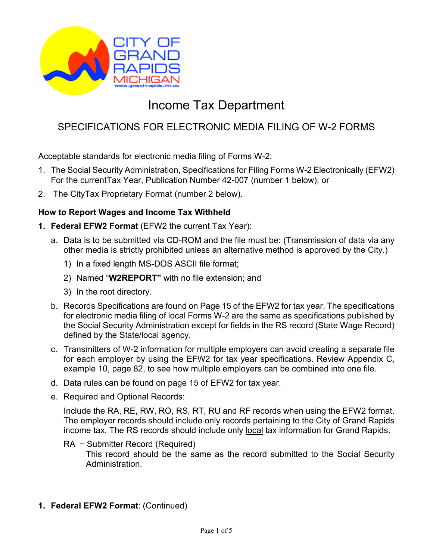

# Income Tax Department

# SPECIFICATIONS FOR ELECTRONIC MEDIA FILING OF W-2 FORMS

Acceptable standards for electronic media filing of Forms W-2:

- 1. The Social Security Administration, Specifications for Filing Forms W-2 Electronically (EFW2) For the currentTax Year, Publication Number 42-007 (number 1 below); or
- 2. The CityTax Proprietary Format (number 2 below).

#### **How to Report Wages and Income Tax Withheld**

- **1. Federal EFW2 Format** (EFW2 the current Tax Year):
	- a. Data is to be submitted via CD-ROM and the file must be: (Transmission of data via any other media is strictly prohibited unless an alternative method is approved by the City.)
		- 1) In a fixed length MS-DOS ASCII file format;
		- 2) Named "**W2REPORT"** with no file extension; and
		- 3) In the root directory.
	- b. Records Specifications are found on Page 15 of the EFW2 for tax year. The specifications for electronic media filing of local Forms W-2 are the same as specifications published by the Social Security Administration except for fields in the RS record (State Wage Record) defined by the State/local agency.
	- c. Transmitters of W-2 information for multiple employers can avoid creating a separate file for each employer by using the EFW2 for tax year specifications. Review Appendix C, example 10, page 82, to see how multiple employers can be combined into one file.
	- d. Data rules can be found on page 15 of EFW2 for tax year.
	- e. Required and Optional Records:

Include the RA, RE, RW, RO, RS, RT, RU and RF records when using the EFW2 format. The employer records should include only records pertaining to the City of Grand Rapids income tax. The RS records should include only local tax information for Grand Rapids.

RA − Submitter Record (Required)

This record should be the same as the record submitted to the Social Security Administration.

**1. Federal EFW2 Format**: (Continued)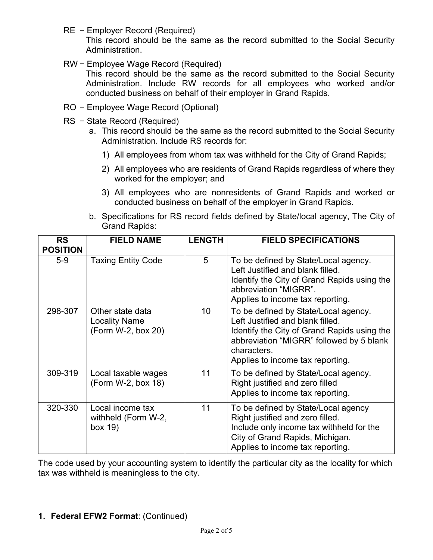RE − Employer Record (Required)

This record should be the same as the record submitted to the Social Security Administration.

RW − Employee Wage Record (Required)

This record should be the same as the record submitted to the Social Security Administration. Include RW records for all employees who worked and/or conducted business on behalf of their employer in Grand Rapids.

- RO − Employee Wage Record (Optional)
- RS − State Record (Required)
	- a. This record should be the same as the record submitted to the Social Security Administration. Include RS records for:
		- 1) All employees from whom tax was withheld for the City of Grand Rapids;
		- 2) All employees who are residents of Grand Rapids regardless of where they worked for the employer; and
		- 3) All employees who are nonresidents of Grand Rapids and worked or conducted business on behalf of the employer in Grand Rapids.
	- b. Specifications for RS record fields defined by State/local agency, The City of Grand Rapids:

| <b>RS</b><br><b>POSITION</b> | <b>FIELD NAME</b>                                              | <b>LENGTH</b> | <b>FIELD SPECIFICATIONS</b>                                                                                                                                                                                            |
|------------------------------|----------------------------------------------------------------|---------------|------------------------------------------------------------------------------------------------------------------------------------------------------------------------------------------------------------------------|
| $5-9$                        | <b>Taxing Entity Code</b>                                      | 5             | To be defined by State/Local agency.<br>Left Justified and blank filled.<br>Identify the City of Grand Rapids using the<br>abbreviation "MIGRR".<br>Applies to income tax reporting.                                   |
| 298-307                      | Other state data<br><b>Locality Name</b><br>(Form W-2, box 20) | 10            | To be defined by State/Local agency.<br>Left Justified and blank filled.<br>Identify the City of Grand Rapids using the<br>abbreviation "MIGRR" followed by 5 blank<br>characters.<br>Applies to income tax reporting. |
| 309-319                      | Local taxable wages<br>(Form W-2, box 18)                      | 11            | To be defined by State/Local agency.<br>Right justified and zero filled<br>Applies to income tax reporting.                                                                                                            |
| 320-330                      | Local income tax<br>withheld (Form W-2,<br>box 19)             | 11            | To be defined by State/Local agency<br>Right justified and zero filled.<br>Include only income tax withheld for the<br>City of Grand Rapids, Michigan.<br>Applies to income tax reporting.                             |

The code used by your accounting system to identify the particular city as the locality for which tax was withheld is meaningless to the city.

**1. Federal EFW2 Format**: (Continued)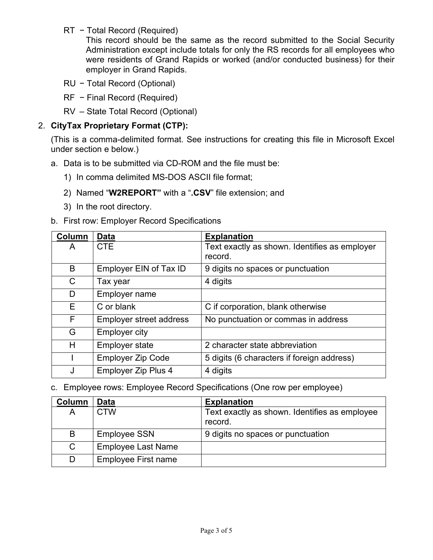RT − Total Record (Required)

This record should be the same as the record submitted to the Social Security Administration except include totals for only the RS records for all employees who were residents of Grand Rapids or worked (and/or conducted business) for their employer in Grand Rapids.

- RU − Total Record (Optional)
- RF − Final Record (Required)
- RV State Total Record (Optional)

#### 2. **CityTax Proprietary Format (CTP):**

(This is a comma-delimited format. See instructions for creating this file in Microsoft Excel under section e below.)

- a. Data is to be submitted via CD-ROM and the file must be:
	- 1) In comma delimited MS-DOS ASCII file format;
	- 2) Named "**W2REPORT"** with a "**.CSV**" file extension; and
	- 3) In the root directory.
- b. First row: Employer Record Specifications

| Column | <b>Data</b>                    | <b>Explanation</b>                                       |
|--------|--------------------------------|----------------------------------------------------------|
| A      | <b>CTE</b>                     | Text exactly as shown. Identifies as employer<br>record. |
| B      | Employer EIN of Tax ID         | 9 digits no spaces or punctuation                        |
| C      | Tax year                       | 4 digits                                                 |
| D      | Employer name                  |                                                          |
| E      | C or blank                     | C if corporation, blank otherwise                        |
| F      | <b>Employer street address</b> | No punctuation or commas in address                      |
| G      | <b>Employer city</b>           |                                                          |
| Н      | <b>Employer state</b>          | 2 character state abbreviation                           |
|        | <b>Employer Zip Code</b>       | 5 digits (6 characters if foreign address)               |
| J      | <b>Employer Zip Plus 4</b>     | 4 digits                                                 |

c. Employee rows: Employee Record Specifications (One row per employee)

| Column | Data                       | <b>Explanation</b>                                       |
|--------|----------------------------|----------------------------------------------------------|
| A      | <b>CTW</b>                 | Text exactly as shown. Identifies as employee<br>record. |
| B      | <b>Employee SSN</b>        | 9 digits no spaces or punctuation                        |
| C      | <b>Employee Last Name</b>  |                                                          |
| D      | <b>Employee First name</b> |                                                          |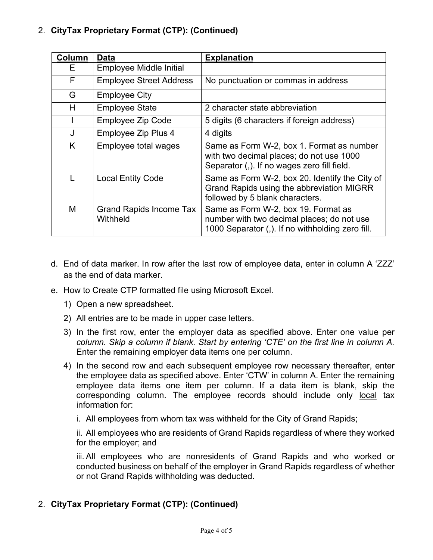## 2. **CityTax Proprietary Format (CTP): (Continued)**

| Column | Data                                       | <b>Explanation</b>                                                                                                                    |
|--------|--------------------------------------------|---------------------------------------------------------------------------------------------------------------------------------------|
| E.     | Employee Middle Initial                    |                                                                                                                                       |
| F      | <b>Employee Street Address</b>             | No punctuation or commas in address                                                                                                   |
| G      | <b>Employee City</b>                       |                                                                                                                                       |
| H      | <b>Employee State</b>                      | 2 character state abbreviation                                                                                                        |
|        | <b>Employee Zip Code</b>                   | 5 digits (6 characters if foreign address)                                                                                            |
| J      | Employee Zip Plus 4                        | 4 digits                                                                                                                              |
| K      | Employee total wages                       | Same as Form W-2, box 1. Format as number<br>with two decimal places; do not use 1000<br>Separator (,). If no wages zero fill field.  |
|        | <b>Local Entity Code</b>                   | Same as Form W-2, box 20. Identify the City of<br>Grand Rapids using the abbreviation MIGRR<br>followed by 5 blank characters.        |
| M      | <b>Grand Rapids Income Tax</b><br>Withheld | Same as Form W-2, box 19. Format as<br>number with two decimal places; do not use<br>1000 Separator (,). If no withholding zero fill. |

- d. End of data marker. In row after the last row of employee data, enter in column A 'ZZZ' as the end of data marker.
- e. How to Create CTP formatted file using Microsoft Excel.
	- 1) Open a new spreadsheet.
	- 2) All entries are to be made in upper case letters.
	- 3) In the first row, enter the employer data as specified above. Enter one value per *column. Skip a column if blank. Start by entering 'CTE' on the first line in column A.* Enter the remaining employer data items one per column.
	- 4) In the second row and each subsequent employee row necessary thereafter, enter the employee data as specified above. Enter 'CTW' in column A. Enter the remaining employee data items one item per column. If a data item is blank, skip the corresponding column. The employee records should include only local tax information for:
		- i. All employees from whom tax was withheld for the City of Grand Rapids;

ii. All employees who are residents of Grand Rapids regardless of where they worked for the employer; and

iii. All employees who are nonresidents of Grand Rapids and who worked or conducted business on behalf of the employer in Grand Rapids regardless of whether or not Grand Rapids withholding was deducted.

#### 2. **CityTax Proprietary Format (CTP): (Continued)**